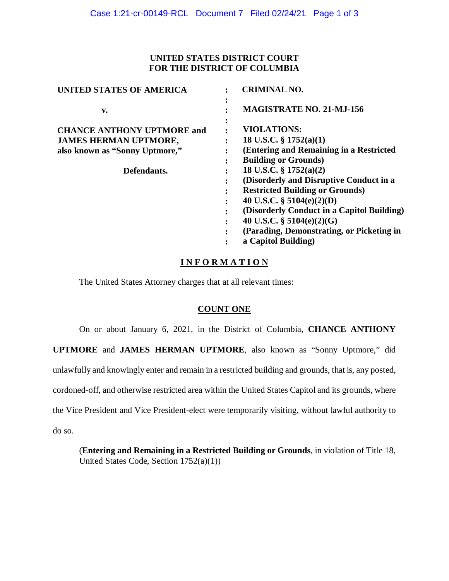### **UNITED STATES DISTRICT COURT FOR THE DISTRICT OF COLUMBIA**

| <b>UNITED STATES OF AMERICA</b>   | <b>CRIMINAL NO.</b>                                  |
|-----------------------------------|------------------------------------------------------|
| v.                                | $\bullet$<br><b>MAGISTRATE NO. 21-MJ-156</b>         |
| <b>CHANCE ANTHONY UPTMORE and</b> | ٠<br>$\bullet$<br><b>VIOLATIONS:</b>                 |
| <b>JAMES HERMAN UPTMORE,</b>      | 18 U.S.C. $\S$ 1752(a)(1)                            |
| also known as "Sonny Uptmore,"    | (Entering and Remaining in a Restricted<br>$\bullet$ |
|                                   | <b>Building or Grounds)</b><br>$\bullet$             |
| Defendants.                       | 18 U.S.C. $\S$ 1752(a)(2)                            |
|                                   | (Disorderly and Disruptive Conduct in a              |
|                                   | <b>Restricted Building or Grounds)</b><br>$\bullet$  |
|                                   | 40 U.S.C. $\S$ 5104(e)(2)(D)<br>$\bullet$            |
|                                   | (Disorderly Conduct in a Capitol Building)           |
|                                   | 40 U.S.C. $\S$ 5104(e)(2)(G)<br>٠                    |
|                                   | (Parading, Demonstrating, or Picketing in            |
|                                   | a Capitol Building)                                  |

## $INFORMATION$

The United States Attorney charges that at all relevant times:

# **COUNT ONE**

On or about January 6, 2021, in the District of Columbia, **CHANCE ANTHONY** 

 unlawfully and knowingly enter and remain in a restricted building and grounds, that is, any posted, the Vice President and Vice President-elect were temporarily visiting, without lawful authority to **UPTMORE** and **JAMES HERMAN UPTMORE**, also known as "Sonny Uptmore," did cordoned-off, and otherwise restricted area within the United States Capitol and its grounds, where do so.

(**Entering and Remaining in a Restricted Building or Grounds**, in violation of Title 18, United States Code, Section 1752(a)(1))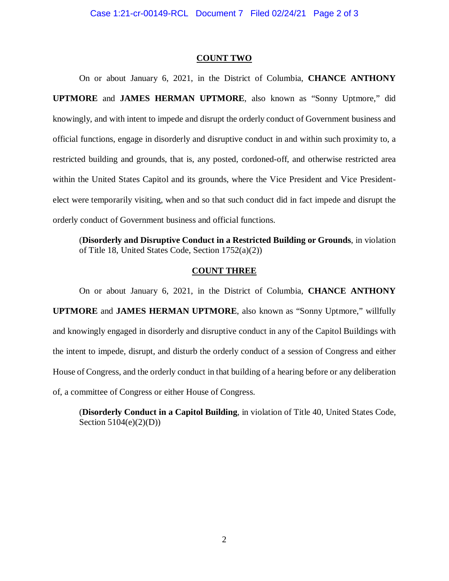#### **COUNT TWO**

 elect were temporarily visiting, when and so that such conduct did in fact impede and disrupt the orderly conduct of Government business and official functions. On or about January 6, 2021, in the District of Columbia, **CHANCE ANTHONY UPTMORE** and **JAMES HERMAN UPTMORE**, also known as "Sonny Uptmore," did knowingly, and with intent to impede and disrupt the orderly conduct of Government business and official functions, engage in disorderly and disruptive conduct in and within such proximity to, a restricted building and grounds, that is, any posted, cordoned-off, and otherwise restricted area within the United States Capitol and its grounds, where the Vice President and Vice President-

(**Disorderly and Disruptive Conduct in a Restricted Building or Grounds**, in violation of Title 18, United States Code, Section 1752(a)(2))

#### **COUNT THREE**

On or about January 6, 2021, in the District of Columbia, **CHANCE ANTHONY UPTMORE** and **JAMES HERMAN UPTMORE**, also known as "Sonny Uptmore," willfully and knowingly engaged in disorderly and disruptive conduct in any of the Capitol Buildings with the intent to impede, disrupt, and disturb the orderly conduct of a session of Congress and either House of Congress, and the orderly conduct in that building of a hearing before or any deliberation of, a committee of Congress or either House of Congress.

(**Disorderly Conduct in a Capitol Building**, in violation of Title 40, United States Code, Section 5104(e)(2)(D))